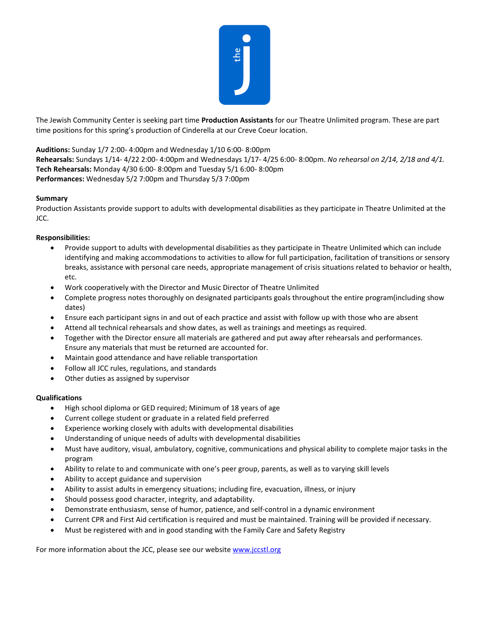

The Jewish Community Center is seeking part time **Production Assistants** for our Theatre Unlimited program. These are part time positions for this spring's production of Cinderella at our Creve Coeur location.

## **Auditions:** Sunday 1/7 2:00- 4:00pm and Wednesday 1/10 6:00- 8:00pm

**Rehearsals:** Sundays 1/14- 4/22 2:00- 4:00pm and Wednesdays 1/17- 4/25 6:00- 8:00pm. *No rehearsal on 2/14, 2/18 and 4/1.* **Tech Rehearsals:** Monday 4/30 6:00- 8:00pm and Tuesday 5/1 6:00- 8:00pm **Performances:** Wednesday 5/2 7:00pm and Thursday 5/3 7:00pm

## **Summary**

Production Assistants provide support to adults with developmental disabilities as they participate in Theatre Unlimited at the JCC.

## **Responsibilities:**

- Provide support to adults with developmental disabilities as they participate in Theatre Unlimited which can include identifying and making accommodations to activities to allow for full participation, facilitation of transitions or sensory breaks, assistance with personal care needs, appropriate management of crisis situations related to behavior or health, etc.
- Work cooperatively with the Director and Music Director of Theatre Unlimited
- Complete progress notes thoroughly on designated participants goals throughout the entire program(including show dates)
- Ensure each participant signs in and out of each practice and assist with follow up with those who are absent
- Attend all technical rehearsals and show dates, as well as trainings and meetings as required.
- Together with the Director ensure all materials are gathered and put away after rehearsals and performances. Ensure any materials that must be returned are accounted for.
- Maintain good attendance and have reliable transportation
- Follow all JCC rules, regulations, and standards
- Other duties as assigned by supervisor

## **Qualifications**

- High school diploma or GED required; Minimum of 18 years of age
- Current college student or graduate in a related field preferred
- Experience working closely with adults with developmental disabilities
- Understanding of unique needs of adults with developmental disabilities
- Must have auditory, visual, ambulatory, cognitive, communications and physical ability to complete major tasks in the program
- Ability to relate to and communicate with one's peer group, parents, as well as to varying skill levels
- Ability to accept guidance and supervision
- Ability to assist adults in emergency situations; including fire, evacuation, illness, or injury
- Should possess good character, integrity, and adaptability.
- Demonstrate enthusiasm, sense of humor, patience, and self-control in a dynamic environment
- Current CPR and First Aid certification is required and must be maintained. Training will be provided if necessary.
- Must be registered with and in good standing with the Family Care and Safety Registry

For more information about the JCC, please see our website [www.jccstl.org](http://www.jccstl.org/)